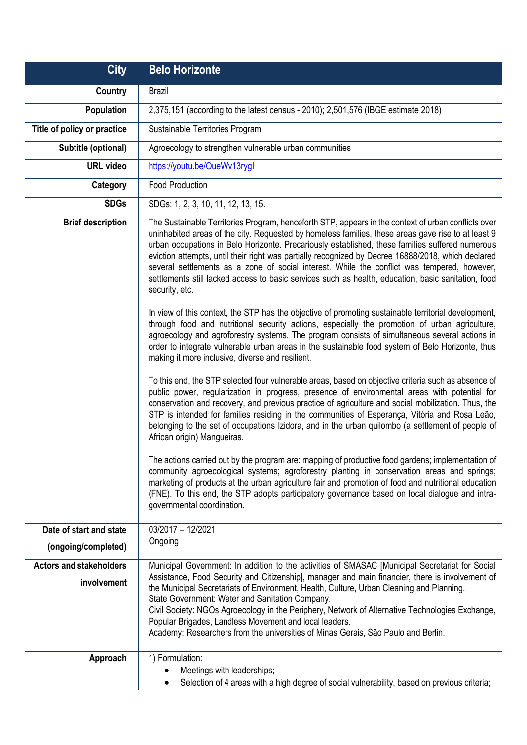| <b>City</b>                                   | <b>Belo Horizonte</b>                                                                                                                                                                                                                                                                                                                                                                                                                                                                                                                                                                                                                                                                                                                                                                                                                                                                                                                                                                                                                                                                                                                                                                                                                                                                                                                                                                                                                                                                                                                                                                                                                                                                                                                                                                                                                                                                                                                                                                                                                                                                                    |
|-----------------------------------------------|----------------------------------------------------------------------------------------------------------------------------------------------------------------------------------------------------------------------------------------------------------------------------------------------------------------------------------------------------------------------------------------------------------------------------------------------------------------------------------------------------------------------------------------------------------------------------------------------------------------------------------------------------------------------------------------------------------------------------------------------------------------------------------------------------------------------------------------------------------------------------------------------------------------------------------------------------------------------------------------------------------------------------------------------------------------------------------------------------------------------------------------------------------------------------------------------------------------------------------------------------------------------------------------------------------------------------------------------------------------------------------------------------------------------------------------------------------------------------------------------------------------------------------------------------------------------------------------------------------------------------------------------------------------------------------------------------------------------------------------------------------------------------------------------------------------------------------------------------------------------------------------------------------------------------------------------------------------------------------------------------------------------------------------------------------------------------------------------------------|
| Country                                       | <b>Brazil</b>                                                                                                                                                                                                                                                                                                                                                                                                                                                                                                                                                                                                                                                                                                                                                                                                                                                                                                                                                                                                                                                                                                                                                                                                                                                                                                                                                                                                                                                                                                                                                                                                                                                                                                                                                                                                                                                                                                                                                                                                                                                                                            |
| Population                                    | 2,375,151 (according to the latest census - 2010); 2,501,576 (IBGE estimate 2018)                                                                                                                                                                                                                                                                                                                                                                                                                                                                                                                                                                                                                                                                                                                                                                                                                                                                                                                                                                                                                                                                                                                                                                                                                                                                                                                                                                                                                                                                                                                                                                                                                                                                                                                                                                                                                                                                                                                                                                                                                        |
| Title of policy or practice                   | Sustainable Territories Program                                                                                                                                                                                                                                                                                                                                                                                                                                                                                                                                                                                                                                                                                                                                                                                                                                                                                                                                                                                                                                                                                                                                                                                                                                                                                                                                                                                                                                                                                                                                                                                                                                                                                                                                                                                                                                                                                                                                                                                                                                                                          |
| Subtitle (optional)                           | Agroecology to strengthen vulnerable urban communities                                                                                                                                                                                                                                                                                                                                                                                                                                                                                                                                                                                                                                                                                                                                                                                                                                                                                                                                                                                                                                                                                                                                                                                                                                                                                                                                                                                                                                                                                                                                                                                                                                                                                                                                                                                                                                                                                                                                                                                                                                                   |
| <b>URL</b> video                              | https://youtu.be/OueWv13rygl                                                                                                                                                                                                                                                                                                                                                                                                                                                                                                                                                                                                                                                                                                                                                                                                                                                                                                                                                                                                                                                                                                                                                                                                                                                                                                                                                                                                                                                                                                                                                                                                                                                                                                                                                                                                                                                                                                                                                                                                                                                                             |
| Category                                      | <b>Food Production</b>                                                                                                                                                                                                                                                                                                                                                                                                                                                                                                                                                                                                                                                                                                                                                                                                                                                                                                                                                                                                                                                                                                                                                                                                                                                                                                                                                                                                                                                                                                                                                                                                                                                                                                                                                                                                                                                                                                                                                                                                                                                                                   |
| <b>SDGs</b>                                   | SDGs: 1, 2, 3, 10, 11, 12, 13, 15.                                                                                                                                                                                                                                                                                                                                                                                                                                                                                                                                                                                                                                                                                                                                                                                                                                                                                                                                                                                                                                                                                                                                                                                                                                                                                                                                                                                                                                                                                                                                                                                                                                                                                                                                                                                                                                                                                                                                                                                                                                                                       |
| <b>Brief description</b>                      | The Sustainable Territories Program, henceforth STP, appears in the context of urban conflicts over<br>uninhabited areas of the city. Requested by homeless families, these areas gave rise to at least 9<br>urban occupations in Belo Horizonte. Precariously established, these families suffered numerous<br>eviction attempts, until their right was partially recognized by Decree 16888/2018, which declared<br>several settlements as a zone of social interest. While the conflict was tempered, however,<br>settlements still lacked access to basic services such as health, education, basic sanitation, food<br>security, etc.<br>In view of this context, the STP has the objective of promoting sustainable territorial development,<br>through food and nutritional security actions, especially the promotion of urban agriculture,<br>agroecology and agroforestry systems. The program consists of simultaneous several actions in<br>order to integrate vulnerable urban areas in the sustainable food system of Belo Horizonte, thus<br>making it more inclusive, diverse and resilient.<br>To this end, the STP selected four vulnerable areas, based on objective criteria such as absence of<br>public power, regularization in progress, presence of environmental areas with potential for<br>conservation and recovery, and previous practice of agriculture and social mobilization. Thus, the<br>STP is intended for families residing in the communities of Esperança, Vitória and Rosa Leão,<br>belonging to the set of occupations Izidora, and in the urban quilombo (a settlement of people of<br>African origin) Mangueiras.<br>The actions carried out by the program are: mapping of productive food gardens; implementation of<br>community agroecological systems; agroforestry planting in conservation areas and springs;<br>marketing of products at the urban agriculture fair and promotion of food and nutritional education<br>(FNE). To this end, the STP adopts participatory governance based on local dialogue and intra-<br>governmental coordination. |
| Date of start and state                       | 03/2017 - 12/2021                                                                                                                                                                                                                                                                                                                                                                                                                                                                                                                                                                                                                                                                                                                                                                                                                                                                                                                                                                                                                                                                                                                                                                                                                                                                                                                                                                                                                                                                                                                                                                                                                                                                                                                                                                                                                                                                                                                                                                                                                                                                                        |
| (ongoing/completed)                           | Ongoing                                                                                                                                                                                                                                                                                                                                                                                                                                                                                                                                                                                                                                                                                                                                                                                                                                                                                                                                                                                                                                                                                                                                                                                                                                                                                                                                                                                                                                                                                                                                                                                                                                                                                                                                                                                                                                                                                                                                                                                                                                                                                                  |
| <b>Actors and stakeholders</b><br>involvement | Municipal Government: In addition to the activities of SMASAC [Municipal Secretariat for Social<br>Assistance, Food Security and Citizenship], manager and main financier, there is involvement of<br>the Municipal Secretariats of Environment, Health, Culture, Urban Cleaning and Planning.<br>State Government: Water and Sanitation Company.<br>Civil Society: NGOs Agroecology in the Periphery, Network of Alternative Technologies Exchange,<br>Popular Brigades, Landless Movement and local leaders.<br>Academy: Researchers from the universities of Minas Gerais, São Paulo and Berlin.                                                                                                                                                                                                                                                                                                                                                                                                                                                                                                                                                                                                                                                                                                                                                                                                                                                                                                                                                                                                                                                                                                                                                                                                                                                                                                                                                                                                                                                                                                      |
| Approach                                      | 1) Formulation:<br>Meetings with leaderships;<br>Selection of 4 areas with a high degree of social vulnerability, based on previous criteria;                                                                                                                                                                                                                                                                                                                                                                                                                                                                                                                                                                                                                                                                                                                                                                                                                                                                                                                                                                                                                                                                                                                                                                                                                                                                                                                                                                                                                                                                                                                                                                                                                                                                                                                                                                                                                                                                                                                                                            |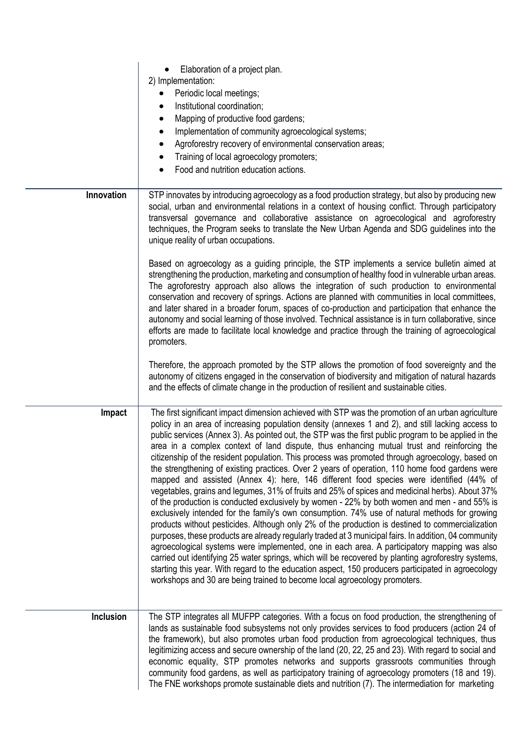|                  | Elaboration of a project plan.<br>2) Implementation:<br>Periodic local meetings;<br>Institutional coordination;<br>Mapping of productive food gardens;<br>٠<br>Implementation of community agroecological systems;<br>٠<br>Agroforestry recovery of environmental conservation areas;<br>$\bullet$<br>Training of local agroecology promoters;<br>Food and nutrition education actions.                                                                                                                                                                                                                                                                                                                                                                                                                                                                                                                                                                                                                                                                                                                                                                                                                                                                                                                                                                                                                                                                                                                                                                                                                                 |
|------------------|-------------------------------------------------------------------------------------------------------------------------------------------------------------------------------------------------------------------------------------------------------------------------------------------------------------------------------------------------------------------------------------------------------------------------------------------------------------------------------------------------------------------------------------------------------------------------------------------------------------------------------------------------------------------------------------------------------------------------------------------------------------------------------------------------------------------------------------------------------------------------------------------------------------------------------------------------------------------------------------------------------------------------------------------------------------------------------------------------------------------------------------------------------------------------------------------------------------------------------------------------------------------------------------------------------------------------------------------------------------------------------------------------------------------------------------------------------------------------------------------------------------------------------------------------------------------------------------------------------------------------|
| Innovation       | STP innovates by introducing agroecology as a food production strategy, but also by producing new<br>social, urban and environmental relations in a context of housing conflict. Through participatory<br>transversal governance and collaborative assistance on agroecological and agroforestry<br>techniques, the Program seeks to translate the New Urban Agenda and SDG guidelines into the<br>unique reality of urban occupations.<br>Based on agroecology as a guiding principle, the STP implements a service bulletin aimed at                                                                                                                                                                                                                                                                                                                                                                                                                                                                                                                                                                                                                                                                                                                                                                                                                                                                                                                                                                                                                                                                                  |
|                  | strengthening the production, marketing and consumption of healthy food in vulnerable urban areas.<br>The agroforestry approach also allows the integration of such production to environmental<br>conservation and recovery of springs. Actions are planned with communities in local committees,<br>and later shared in a broader forum, spaces of co-production and participation that enhance the<br>autonomy and social learning of those involved. Technical assistance is in turn collaborative, since<br>efforts are made to facilitate local knowledge and practice through the training of agroecological<br>promoters.                                                                                                                                                                                                                                                                                                                                                                                                                                                                                                                                                                                                                                                                                                                                                                                                                                                                                                                                                                                       |
|                  | Therefore, the approach promoted by the STP allows the promotion of food sovereignty and the<br>autonomy of citizens engaged in the conservation of biodiversity and mitigation of natural hazards<br>and the effects of climate change in the production of resilient and sustainable cities.                                                                                                                                                                                                                                                                                                                                                                                                                                                                                                                                                                                                                                                                                                                                                                                                                                                                                                                                                                                                                                                                                                                                                                                                                                                                                                                          |
| Impact           | The first significant impact dimension achieved with STP was the promotion of an urban agriculture<br>policy in an area of increasing population density (annexes 1 and 2), and still lacking access to<br>public services (Annex 3). As pointed out, the STP was the first public program to be applied in the<br>area in a complex context of land dispute, thus enhancing mutual trust and reinforcing the<br>citizenship of the resident population. This process was promoted through agroecology, based on<br>the strengthening of existing practices. Over 2 years of operation, 110 home food gardens were<br>mapped and assisted (Annex 4): here, 146 different food species were identified (44% of<br>vegetables, grains and legumes, 31% of fruits and 25% of spices and medicinal herbs). About 37%<br>of the production is conducted exclusively by women - 22% by both women and men - and 55% is<br>exclusively intended for the family's own consumption. 74% use of natural methods for growing<br>products without pesticides. Although only 2% of the production is destined to commercialization<br>purposes, these products are already regularly traded at 3 municipal fairs. In addition, 04 community<br>agroecological systems were implemented, one in each area. A participatory mapping was also<br>carried out identifying 25 water springs, which will be recovered by planting agroforestry systems,<br>starting this year. With regard to the education aspect, 150 producers participated in agroecology<br>workshops and 30 are being trained to become local agroecology promoters. |
| <b>Inclusion</b> | The STP integrates all MUFPP categories. With a focus on food production, the strengthening of<br>lands as sustainable food subsystems not only provides services to food producers (action 24 of<br>the framework), but also promotes urban food production from agroecological techniques, thus<br>legitimizing access and secure ownership of the land (20, 22, 25 and 23). With regard to social and<br>economic equality, STP promotes networks and supports grassroots communities through<br>community food gardens, as well as participatory training of agroecology promoters (18 and 19).<br>The FNE workshops promote sustainable diets and nutrition (7). The intermediation for marketing                                                                                                                                                                                                                                                                                                                                                                                                                                                                                                                                                                                                                                                                                                                                                                                                                                                                                                                  |